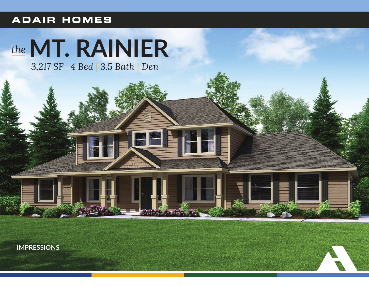### **ADAIR HOMES**

# the MT. RAINIER

3,217 SF | 4 Bed | 3.5 Bath | Den

**IMPRESSIONS** 

CHORAL COMMERCIAL CALL AND THE ST